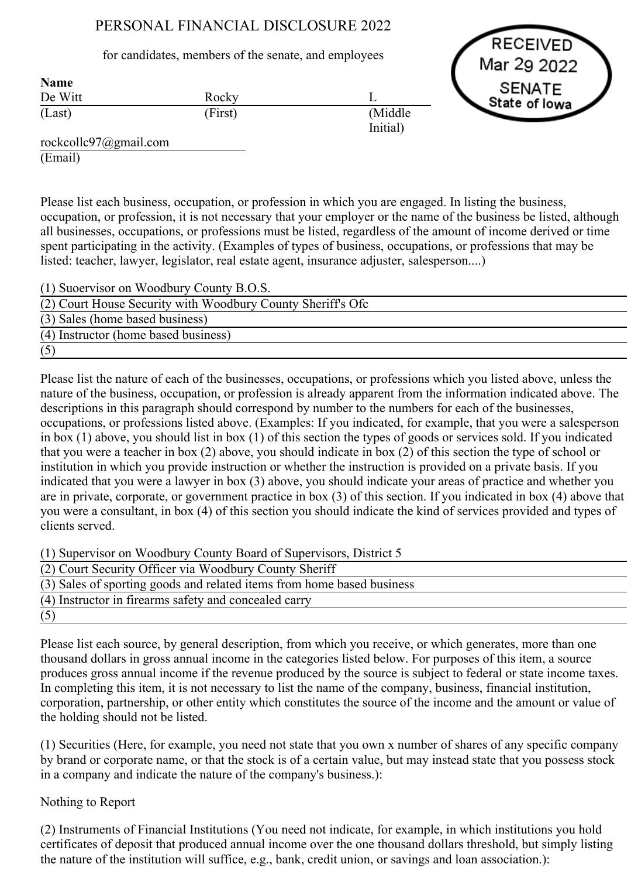## PERSONAL FINANCIAL DISCLOSURE 2022

for candidates, members of the senate, and employees

De Witt (Last) Rocky (First) Name



rockcollc97@gmail.com (Email)

Please list each business, occupation, or profession in which you are engaged. In listing the business, occupation, or profession, it is not necessary that your employer or the name of the business be listed, although all businesses, occupations, or professions must be listed, regardless of the amount of income derived or time spent participating in the activity. (Examples of types of business, occupations, or professions that may be listed: teacher, lawyer, legislator, real estate agent, insurance adjuster, salesperson....)

L

(Middle Initial)

| (1) Suoervisor on Woodbury County B.O.S.                    |
|-------------------------------------------------------------|
| (2) Court House Security with Woodbury County Sheriff's Ofc |
| (3) Sales (home based business)                             |
| (4) Instructor (home based business)                        |
| (5)                                                         |

Please list the nature of each of the businesses, occupations, or professions which you listed above, unless the nature of the business, occupation, or profession is already apparent from the information indicated above. The descriptions in this paragraph should correspond by number to the numbers for each of the businesses, occupations, or professions listed above. (Examples: If you indicated, for example, that you were a salesperson in box (1) above, you should list in box (1) of this section the types of goods or services sold. If you indicated that you were a teacher in box (2) above, you should indicate in box (2) of this section the type of school or institution in which you provide instruction or whether the instruction is provided on a private basis. If you indicated that you were a lawyer in box (3) above, you should indicate your areas of practice and whether you are in private, corporate, or government practice in box (3) of this section. If you indicated in box (4) above that you were a consultant, in box (4) of this section you should indicate the kind of services provided and types of clients served.

(1) Supervisor on Woodbury County Board of Supervisors, District 5

| (2) Court Security Officer via Woodbury County Sheriff                 |
|------------------------------------------------------------------------|
| (3) Sales of sporting goods and related items from home based business |
| (4) Instructor in firearms safety and concealed carry                  |
| (5)                                                                    |

Please list each source, by general description, from which you receive, or which generates, more than one thousand dollars in gross annual income in the categories listed below. For purposes of this item, a source produces gross annual income if the revenue produced by the source is subject to federal or state income taxes. In completing this item, it is not necessary to list the name of the company, business, financial institution, corporation, partnership, or other entity which constitutes the source of the income and the amount or value of the holding should not be listed.

(1) Securities (Here, for example, you need not state that you own x number of shares of any specific company by brand or corporate name, or that the stock is of a certain value, but may instead state that you possess stock in a company and indicate the nature of the company's business.):

## Nothing to Report

(2) Instruments of Financial Institutions (You need not indicate, for example, in which institutions you hold certificates of deposit that produced annual income over the one thousand dollars threshold, but simply listing the nature of the institution will suffice, e.g., bank, credit union, or savings and loan association.):